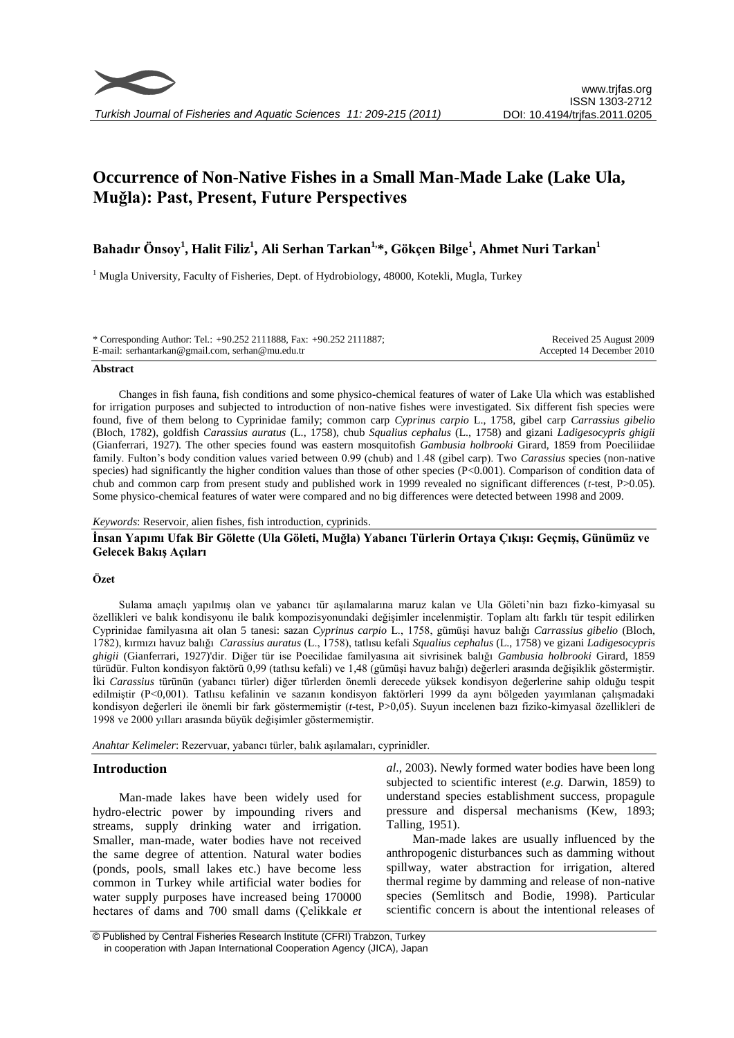

# **Occurrence of Non-Native Fishes in a Small Man-Made Lake (Lake Ula, Muğla): Past, Present, Future Perspectives**

# **Bahadır Önsoy<sup>1</sup> , Halit Filiz<sup>1</sup> , Ali Serhan Tarkan1,\*, Gökçen Bilge<sup>1</sup> , Ahmet Nuri Tarkan<sup>1</sup>**

 $<sup>1</sup>$  Mugla University, Faculty of Fisheries, Dept. of Hydrobiology, 48000, Kotekli, Mugla, Turkey</sup>

| * Corresponding Author: Tel.: +90.252 2111888, Fax: +90.252 2111887; | Received 25 August 2009   |
|----------------------------------------------------------------------|---------------------------|
| E-mail: serhantarkan@gmail.com, serhan@mu.edu.tr                     | Accepted 14 December 2010 |

#### **Abstract**

Changes in fish fauna, fish conditions and some physico-chemical features of water of Lake Ula which was established for irrigation purposes and subjected to introduction of non-native fishes were investigated. Six different fish species were found, five of them belong to Cyprinidae family; common carp *Cyprinus carpio* L., 1758, gibel carp *Carrassius gibelio* (Bloch, 1782), goldfish *Carassius auratus* (L., 1758), chub *Squalius cephalus* (L., 1758) and gizani *Ladigesocypris ghigii* (Gianferrari, 1927). The other species found was eastern mosquitofish *Gambusia holbrooki* Girard, 1859 from Poeciliidae family. Fulton's body condition values varied between 0.99 (chub) and 1.48 (gibel carp). Two *Carassius* species (non-native species) had significantly the higher condition values than those of other species (P<0.001). Comparison of condition data of chub and common carp from present study and published work in 1999 revealed no significant differences (*t*-test, P>0.05). Some physico-chemical features of water were compared and no big differences were detected between 1998 and 2009.

#### *Keywords*: Reservoir, alien fishes, fish introduction, cyprinids.

# **İnsan Yapımı Ufak Bir Gölette (Ula Göleti, Muğla) Yabancı Türlerin Ortaya Çıkışı: Geçmiş, Günümüz ve Gelecek Bakış Açıları**

# **Özet**

Sulama amaçlı yapılmış olan ve yabancı tür aşılamalarına maruz kalan ve Ula Göleti'nin bazı fizko-kimyasal su özellikleri ve balık kondisyonu ile balık kompozisyonundaki değişimler incelenmiştir. Toplam altı farklı tür tespit edilirken Cyprinidae familyasına ait olan 5 tanesi: sazan *Cyprinus carpio* L., 1758, gümüşi havuz balığı *Carrassius gibelio* (Bloch, 1782), kırmızı havuz balığı *Carassius auratus* (L., 1758), tatlısu kefali *Squalius cephalus* (L., 1758) ve gizani *Ladigesocypris ghigii* (Gianferrari, 1927)'dir. Diğer tür ise Poecilidae familyasına ait sivrisinek balığı *Gambusia holbrooki* Girard, 1859 türüdür. Fulton kondisyon faktörü 0,99 (tatlısu kefali) ve 1,48 (gümüşi havuz balığı) değerleri arasında değişiklik göstermiştir. İki *Carassius* türünün (yabancı türler) diğer türlerden önemli derecede yüksek kondisyon değerlerine sahip olduğu tespit edilmiştir (P<0,001). Tatlısu kefalinin ve sazanın kondisyon faktörleri 1999 da aynı bölgeden yayımlanan çalışmadaki kondisyon değerleri ile önemli bir fark göstermemiştir (*t*-test, P>0,05). Suyun incelenen bazı fiziko-kimyasal özellikleri de 1998 ve 2000 yılları arasında büyük değişimler göstermemiştir.

*Anahtar Kelimeler*: Rezervuar, yabancı türler, balık aşılamaları, cyprinidler.

### **Introduction**

Man-made lakes have been widely used for hydro-electric power by impounding rivers and streams, supply drinking water and irrigation. Smaller, man-made, water bodies have not received the same degree of attention. Natural water bodies (ponds, pools, small lakes etc.) have become less common in Turkey while artificial water bodies for water supply purposes have increased being 170000 hectares of dams and 700 small dams (Çelikkale *et* 

*al*., 2003). Newly formed water bodies have been long subjected to scientific interest (*e.g.* Darwin, 1859) to understand species establishment success, propagule pressure and dispersal mechanisms (Kew, 1893; Talling, 1951).

Man-made lakes are usually influenced by the anthropogenic disturbances such as damming without spillway, water abstraction for irrigation, altered thermal regime by damming and release of non-native species (Semlitsch and Bodie, 1998). Particular scientific concern is about the intentional releases of

<sup>©</sup> Published by Central Fisheries Research Institute (CFRI) Trabzon, Turkey in cooperation with Japan International Cooperation Agency (JICA), Japan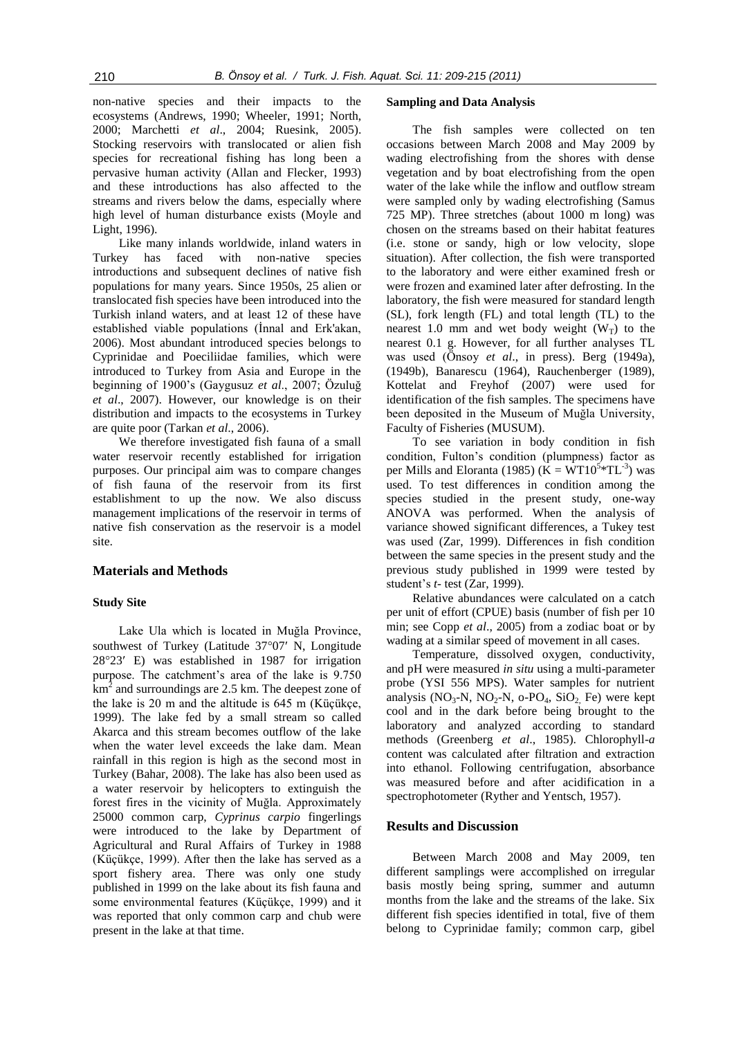non-native species and their impacts to the ecosystems (Andrews, 1990; Wheeler, 1991; North, 2000; Marchetti *et al*., 2004; Ruesink, 2005). Stocking reservoirs with translocated or alien fish species for recreational fishing has long been a pervasive human activity (Allan and Flecker, 1993) and these introductions has also affected to the streams and rivers below the dams, especially where high level of human disturbance exists (Moyle and Light, 1996).

Like many inlands worldwide, inland waters in Turkey has faced with non-native species introductions and subsequent declines of native fish populations for many years. Since 1950s, 25 alien or translocated fish species have been introduced into the Turkish inland waters, and at least 12 of these have established viable populations (İnnal and Erk'akan, 2006). Most abundant introduced species belongs to Cyprinidae and Poeciliidae families, which were introduced to Turkey from Asia and Europe in the beginning of 1900's (Gaygusuz *et al*., 2007; Özuluğ *et al*., 2007). However, our knowledge is on their distribution and impacts to the ecosystems in Turkey are quite poor (Tarkan *et al*., 2006).

We therefore investigated fish fauna of a small water reservoir recently established for irrigation purposes. Our principal aim was to compare changes of fish fauna of the reservoir from its first establishment to up the now. We also discuss management implications of the reservoir in terms of native fish conservation as the reservoir is a model site.

### **Materials and Methods**

#### **Study Site**

Lake Ula which is located in Muğla Province, southwest of Turkey (Latitude 37°07' N, Longitude  $28^{\circ}23'$  E) was established in 1987 for irrigation purpose. The catchment's area of the lake is 9.750  $km^2$  and surroundings are 2.5 km. The deepest zone of the lake is 20 m and the altitude is 645 m (Küçükçe, 1999). The lake fed by a small stream so called Akarca and this stream becomes outflow of the lake when the water level exceeds the lake dam. Mean rainfall in this region is high as the second most in Turkey (Bahar, 2008). The lake has also been used as a water reservoir by helicopters to extinguish the forest fires in the vicinity of Muğla. Approximately 25000 common carp, *Cyprinus carpio* fingerlings were introduced to the lake by Department of Agricultural and Rural Affairs of Turkey in 1988 (Küçükçe, 1999). After then the lake has served as a sport fishery area. There was only one study published in 1999 on the lake about its fish fauna and some environmental features (Küçükçe, 1999) and it was reported that only common carp and chub were present in the lake at that time.

#### **Sampling and Data Analysis**

The fish samples were collected on ten occasions between March 2008 and May 2009 by wading electrofishing from the shores with dense vegetation and by boat electrofishing from the open water of the lake while the inflow and outflow stream were sampled only by wading electrofishing (Samus 725 MP). Three stretches (about 1000 m long) was chosen on the streams based on their habitat features (i.e. stone or sandy, high or low velocity, slope situation). After collection, the fish were transported to the laboratory and were either examined fresh or were frozen and examined later after defrosting. In the laboratory, the fish were measured for standard length (SL), fork length (FL) and total length (TL) to the nearest 1.0 mm and wet body weight  $(W_T)$  to the nearest 0.1 g. However, for all further analyses TL was used (Önsoy *et al*., in press). Berg (1949a), (1949b), Banarescu (1964), Rauchenberger (1989), Kottelat and Freyhof (2007) were used for identification of the fish samples. The specimens have been deposited in the Museum of Muğla University, Faculty of Fisheries (MUSUM).

To see variation in body condition in fish condition, Fulton's condition (plumpness) factor as per Mills and Eloranta (1985) ( $\tilde{K} = \tilde{W}T10^{5}*TL^{-3}$ ) was used. To test differences in condition among the species studied in the present study, one-way ANOVA was performed. When the analysis of variance showed significant differences, a Tukey test was used (Zar, 1999). Differences in fish condition between the same species in the present study and the previous study published in 1999 were tested by student's *t-* test (Zar, 1999).

Relative abundances were calculated on a catch per unit of effort (CPUE) basis (number of fish per 10 min; see Copp *et al*., 2005) from a zodiac boat or by wading at a similar speed of movement in all cases.

Temperature, dissolved oxygen, conductivity, and pH were measured *in situ* using a multi-parameter probe (YSI 556 MPS). Water samples for nutrient analysis (NO<sub>3</sub>-N, NO<sub>2</sub>-N, o-PO<sub>4</sub>, SiO<sub>2</sub> Fe) were kept cool and in the dark before being brought to the laboratory and analyzed according to standard methods (Greenberg *et al*., 1985). Chlorophyll-*a* content was calculated after filtration and extraction into ethanol. Following centrifugation, absorbance was measured before and after acidification in a spectrophotometer (Ryther and Yentsch, 1957).

#### **Results and Discussion**

Between March 2008 and May 2009, ten different samplings were accomplished on irregular basis mostly being spring, summer and autumn months from the lake and the streams of the lake. Six different fish species identified in total, five of them belong to Cyprinidae family; common carp, gibel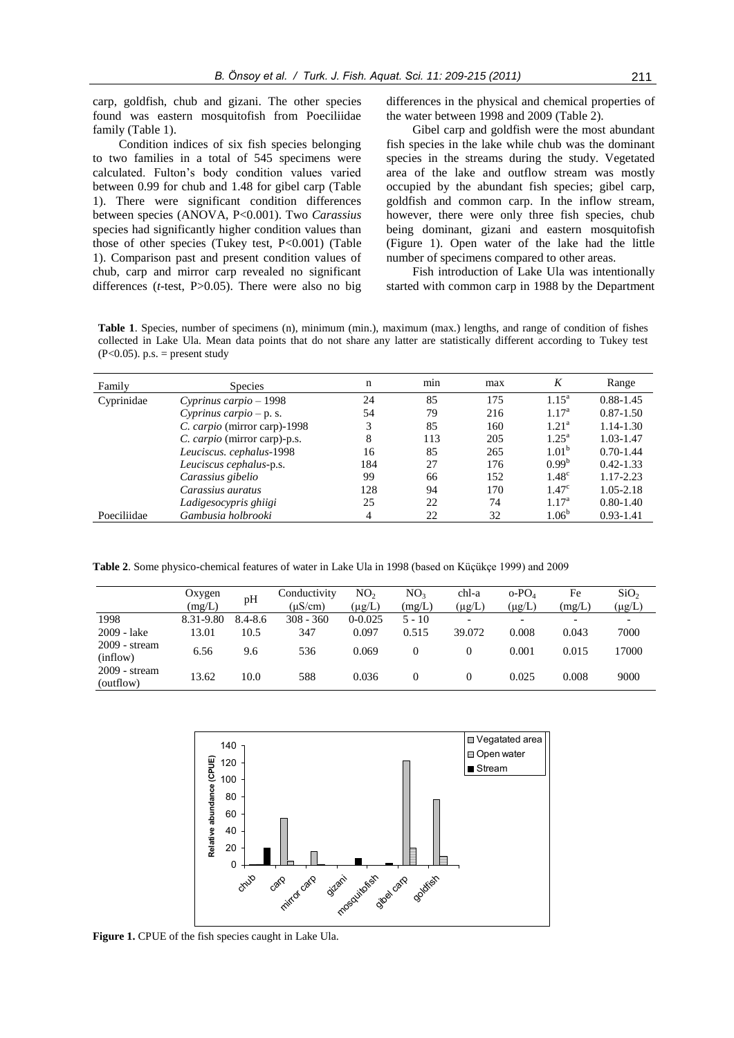carp, goldfish, chub and gizani. The other species found was eastern mosquitofish from Poeciliidae family (Table 1).

Condition indices of six fish species belonging to two families in a total of 545 specimens were calculated. Fulton's body condition values varied between 0.99 for chub and 1.48 for gibel carp (Table 1). There were significant condition differences between species (ANOVA, P<0.001). Two *Carassius* species had significantly higher condition values than those of other species (Tukey test, P<0.001) (Table 1). Comparison past and present condition values of chub, carp and mirror carp revealed no significant differences (*t*-test, P>0.05). There were also no big differences in the physical and chemical properties of the water between 1998 and 2009 (Table 2).

Gibel carp and goldfish were the most abundant fish species in the lake while chub was the dominant species in the streams during the study. Vegetated area of the lake and outflow stream was mostly occupied by the abundant fish species; gibel carp, goldfish and common carp. In the inflow stream, however, there were only three fish species, chub being dominant, gizani and eastern mosquitofish (Figure 1). Open water of the lake had the little number of specimens compared to other areas.

Fish introduction of Lake Ula was intentionally started with common carp in 1988 by the Department

**Table 1**. Species, number of specimens (n), minimum (min.), maximum (max.) lengths, and range of condition of fishes collected in Lake Ula. Mean data points that do not share any latter are statistically different according to Tukey test  $(P<0.05)$ . p.s. = present study

| Family      | <b>Species</b>                    | n   | min | max | K                 | Range         |
|-------------|-----------------------------------|-----|-----|-----|-------------------|---------------|
| Cyprinidae  | $C$ <i>vprinus carpio</i> $-1998$ | 24  | 85  | 175 | $1.15^{\rm a}$    | $0.88 - 1.45$ |
|             | Cyprinus carpio $-p$ . s.         | 54  | 79  | 216 | 1.17 <sup>a</sup> | $0.87 - 1.50$ |
|             | C. carpio (mirror carp)-1998      |     | 85  | 160 | 1.21 <sup>a</sup> | 1.14-1.30     |
|             | C. carpio (mirror carp)-p.s.      | 8   | 113 | 205 | $1.25^{\rm a}$    | 1.03-1.47     |
|             | Leuciscus. cephalus-1998          | 16  | 85  | 265 | 1.01 <sup>b</sup> | $0.70 - 1.44$ |
|             | Leuciscus cephalus-p.s.           | 184 | 27  | 176 | $0.99^{b}$        | $0.42 - 1.33$ |
|             | Carassius gibelio                 | 99  | 66  | 152 | $1.48^\circ$      | 1.17-2.23     |
|             | Carassius auratus                 | 128 | 94  | 170 | 1.47 <sup>c</sup> | $1.05 - 2.18$ |
|             | Ladigesocypris ghiigi             | 25  | 22  | 74  | 1.17 <sup>a</sup> | $0.80 - 1.40$ |
| Poeciliidae | Gambusia holbrooki                | 4   | 22  | 32  | $1.06^{b}$        | $0.93 - 1.41$ |

**Table 2**. Some physico-chemical features of water in Lake Ula in 1998 (based on Küçükçe 1999) and 2009

|                              | Oxygen<br>(mg/L) | pH          | Conductivity<br>(uS/cm) | NO <sub>2</sub><br>(µg/L) | NO <sub>3</sub><br>(mg/L) | chl-a<br>(µg/L) | $o$ -PO <sub>4</sub><br>$(\mu g/L)$ | Fe<br>(mg/L) | SiO <sub>2</sub><br>(µg/L) |
|------------------------------|------------------|-------------|-------------------------|---------------------------|---------------------------|-----------------|-------------------------------------|--------------|----------------------------|
| 1998                         | 8.31-9.80        | $8.4 - 8.6$ | $308 - 360$             | $0 - 0.025$               | $5 - 10$                  |                 |                                     |              |                            |
| 2009 - lake                  | 13.01            | 10.5        | 347                     | 0.097                     | 0.515                     | 39.072          | 0.008                               | 0.043        | 7000                       |
| $2009 - stream$<br>(inflow)  | 6.56             | 9.6         | 536                     | 0.069                     |                           |                 | 0.001                               | 0.015        | 17000                      |
| $2009 - stream$<br>(outflow) | 13.62            | 10.0        | 588                     | 0.036                     |                           |                 | 0.025                               | 0.008        | 9000                       |



**Figure 1.** CPUE of the fish species caught in Lake Ula.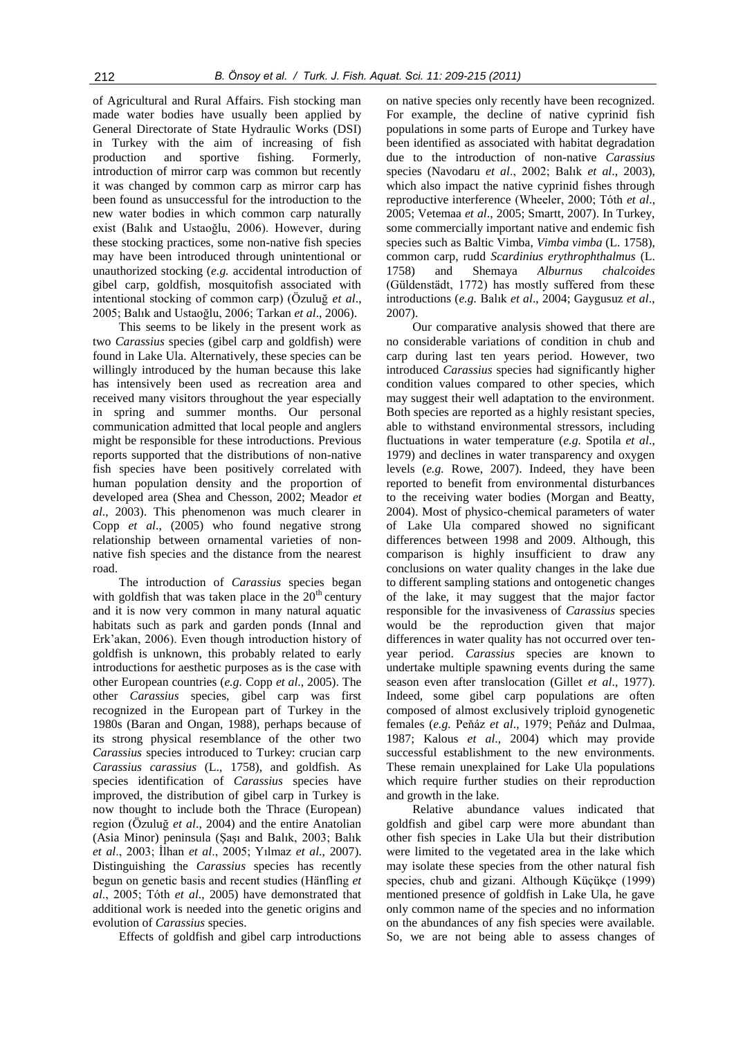of Agricultural and Rural Affairs. Fish stocking man made water bodies have usually been applied by General Directorate of State Hydraulic Works (DSI) in Turkey with the aim of increasing of fish production and sportive fishing. Formerly, introduction of mirror carp was common but recently it was changed by common carp as mirror carp has been found as unsuccessful for the introduction to the new water bodies in which common carp naturally exist (Balık and Ustaoğlu, 2006). However, during these stocking practices, some non-native fish species may have been introduced through unintentional or unauthorized stocking (*e.g.* accidental introduction of gibel carp, goldfish, mosquitofish associated with intentional stocking of common carp) (Özuluğ *et al*., 2005; Balık and Ustaoğlu, 2006; Tarkan *et al*., 2006).

This seems to be likely in the present work as two *Carassius* species (gibel carp and goldfish) were found in Lake Ula. Alternatively, these species can be willingly introduced by the human because this lake has intensively been used as recreation area and received many visitors throughout the year especially in spring and summer months. Our personal communication admitted that local people and anglers might be responsible for these introductions. Previous reports supported that the distributions of non-native fish species have been positively correlated with human population density and the proportion of developed area (Shea and Chesson, 2002; Meador *et al*., 2003). This phenomenon was much clearer in Copp *et al*., (2005) who found negative strong relationship between ornamental varieties of nonnative fish species and the distance from the nearest road.

The introduction of *Carassius* species began with goldfish that was taken place in the  $20<sup>th</sup>$  century and it is now very common in many natural aquatic habitats such as park and garden ponds (Innal and Erk'akan, 2006). Even though introduction history of goldfish is unknown, this probably related to early introductions for aesthetic purposes as is the case with other European countries (*e.g.* Copp *et al*., 2005). The other *Carassius* species, gibel carp was first recognized in the European part of Turkey in the 1980s (Baran and Ongan, 1988), perhaps because of its strong physical resemblance of the other two *Carassius* species introduced to Turkey: crucian carp *Carassius carassius* (L., 1758), and goldfish. As species identification of *Carassius* species have improved, the distribution of gibel carp in Turkey is now thought to include both the Thrace (European) region (Özuluğ *et al*., 2004) and the entire Anatolian (Asia Minor) peninsula (Şaşı and Balık, 2003; Balık *et al*., 2003; İlhan *et al*., 2005; Yılmaz *et al*., 2007). Distinguishing the *Carassius* species has recently begun on genetic basis and recent studies (Hänfling *et al*., 2005; Tóth *et al*., 2005) have demonstrated that additional work is needed into the genetic origins and evolution of *Carassius* species.

Effects of goldfish and gibel carp introductions

on native species only recently have been recognized. For example, the decline of native cyprinid fish populations in some parts of Europe and Turkey have been identified as associated with habitat degradation due to the introduction of non-native *Carassius*  species (Navodaru *et al*., 2002; Balık *et al*., 2003), which also impact the native cyprinid fishes through reproductive interference (Wheeler, 2000; Tóth *et al*., 2005; Vetemaa *et al*., 2005; Smartt, 2007). In Turkey, some commercially important native and endemic fish species such as Baltic Vimba, *Vimba vimba* (L. 1758), common carp, rudd *Scardinius erythrophthalmus* (L. 1758) and Shemaya *Alburnus chalcoides* (Güldenstädt, 1772) has mostly suffered from these introductions (*e.g.* Balık *et al*., 2004; Gaygusuz *et al*., 2007).

Our comparative analysis showed that there are no considerable variations of condition in chub and carp during last ten years period. However, two introduced *Carassius* species had significantly higher condition values compared to other species, which may suggest their well adaptation to the environment. Both species are reported as a highly resistant species, able to withstand environmental stressors, including fluctuations in water temperature (*e.g.* Spotila *et al*., 1979) and declines in water transparency and oxygen levels (*e.g.* Rowe, 2007). Indeed, they have been reported to benefit from environmental disturbances to the receiving water bodies (Morgan and Beatty, 2004). Most of physico-chemical parameters of water of Lake Ula compared showed no significant differences between 1998 and 2009. Although, this comparison is highly insufficient to draw any conclusions on water quality changes in the lake due to different sampling stations and ontogenetic changes of the lake, it may suggest that the major factor responsible for the invasiveness of *Carassius* species would be the reproduction given that major differences in water quality has not occurred over tenyear period. *Carassius* species are known to undertake multiple spawning events during the same season even after translocation (Gillet *et al*., 1977). Indeed, some gibel carp populations are often composed of almost exclusively triploid gynogenetic females (*e.g.* Peňáz *et al*., 1979; Peňáz and Dulmaa, 1987; Kalous *et al*., 2004) which may provide successful establishment to the new environments. These remain unexplained for Lake Ula populations which require further studies on their reproduction and growth in the lake.

Relative abundance values indicated that goldfish and gibel carp were more abundant than other fish species in Lake Ula but their distribution were limited to the vegetated area in the lake which may isolate these species from the other natural fish species, chub and gizani. Although Küçükçe (1999) mentioned presence of goldfish in Lake Ula, he gave only common name of the species and no information on the abundances of any fish species were available. So, we are not being able to assess changes of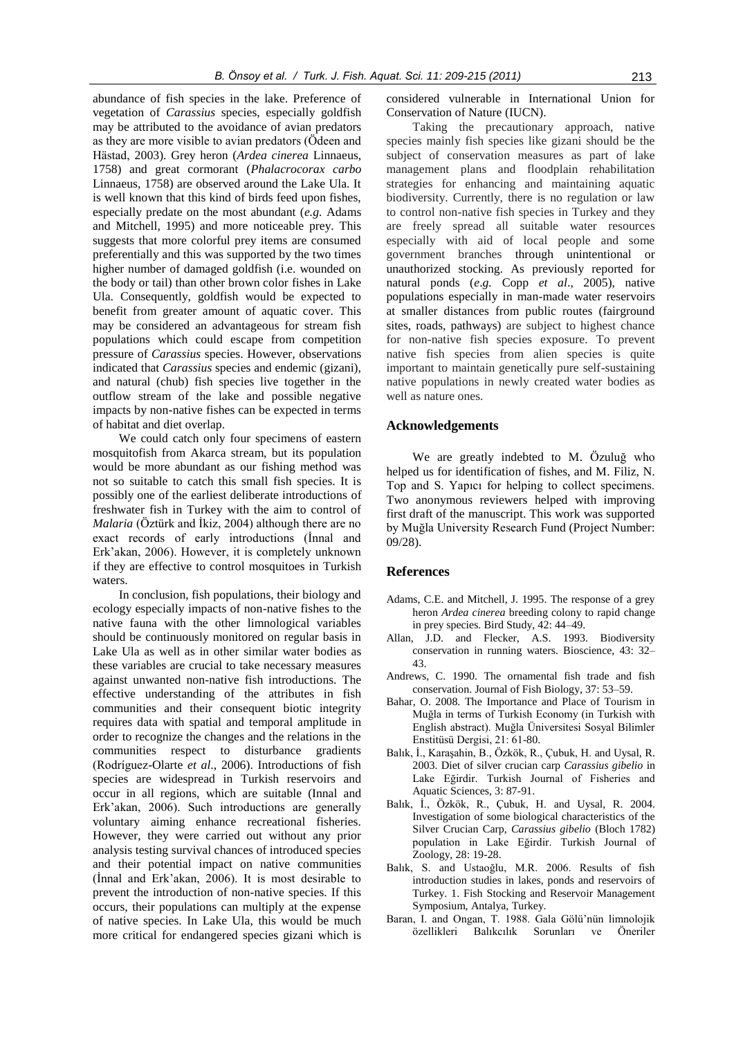abundance of fish species in the lake. Preference of vegetation of *Carassius* species, especially goldfish may be attributed to the avoidance of avian predators as they are more visible to avian predators (Ödeen and Hästad, 2003). Grey heron (*Ardea cinerea* Linnaeus, 1758) and great cormorant (*Phalacrocorax carbo* Linnaeus, 1758) are observed around the Lake Ula. It is well known that this kind of birds feed upon fishes, especially predate on the most abundant (*e.g.* Adams and Mitchell, 1995) and more noticeable prey. This suggests that more colorful prey items are consumed preferentially and this was supported by the two times higher number of damaged goldfish (i.e. wounded on the body or tail) than other brown color fishes in Lake Ula. Consequently, goldfish would be expected to benefit from greater amount of aquatic cover. This may be considered an advantageous for stream fish populations which could escape from competition pressure of *Carassius* species. However, observations indicated that *Carassius* species and endemic (gizani), and natural (chub) fish species live together in the outflow stream of the lake and possible negative impacts by non-native fishes can be expected in terms of habitat and diet overlap.

We could catch only four specimens of eastern mosquitofish from Akarca stream, but its population would be more abundant as our fishing method was not so suitable to catch this small fish species. It is possibly one of the earliest deliberate introductions of freshwater fish in Turkey with the aim to control of *Malaria* (Öztürk and İkiz, 2004) although there are no exact records of early introductions (İnnal and Erk'akan, 2006). However, it is completely unknown if they are effective to control mosquitoes in Turkish waters.

In conclusion, fish populations, their biology and ecology especially impacts of non-native fishes to the native fauna with the other limnological variables should be continuously monitored on regular basis in Lake Ula as well as in other similar water bodies as these variables are crucial to take necessary measures against unwanted non-native fish introductions. The effective understanding of the attributes in fish communities and their consequent biotic integrity requires data with spatial and temporal amplitude in order to recognize the changes and the relations in the communities respect to disturbance gradients (Rodríguez-Olarte *et al*., 2006). Introductions of fish species are widespread in Turkish reservoirs and occur in all regions, which are suitable (Innal and Erk'akan, 2006). Such introductions are generally voluntary aiming enhance recreational fisheries. However, they were carried out without any prior analysis testing survival chances of introduced species and their potential impact on native communities (İnnal and Erk'akan, 2006). It is most desirable to prevent the introduction of non-native species. If this occurs, their populations can multiply at the expense of native species. In Lake Ula, this would be much more critical for endangered species gizani which is

considered vulnerable in International Union for Conservation of Nature (IUCN).

Taking the precautionary approach, native species mainly fish species like gizani should be the subject of conservation measures as part of lake management plans and floodplain rehabilitation strategies for enhancing and maintaining aquatic biodiversity. Currently, there is no regulation or law to control non-native fish species in Turkey and they are freely spread all suitable water resources especially with aid of local people and some government branches through unintentional or unauthorized stocking. As previously reported for natural ponds (*e*.*g.* Copp *et al*., 2005), native populations especially in man-made water reservoirs at smaller distances from public routes (fairground sites, roads, pathways) are subject to highest chance for non-native fish species exposure. To prevent native fish species from alien species is quite important to maintain genetically pure self-sustaining native populations in newly created water bodies as well as nature ones.

## **Acknowledgements**

We are greatly indebted to M. Özuluğ who helped us for identification of fishes, and M. Filiz, N. Top and S. Yapıcı for helping to collect specimens. Two anonymous reviewers helped with improving first draft of the manuscript. This work was supported by Muğla University Research Fund (Project Number: 09/28).

#### **References**

- Adams, C.E. and Mitchell, J. 1995. The response of a grey heron *Ardea cinerea* breeding colony to rapid change in prey species. Bird Study, 42: 44–49.
- Allan, J.D. and Flecker, A.S. 1993. Biodiversity conservation in running waters. Bioscience, 43: 32– 43.
- Andrews, C. 1990. The ornamental fish trade and fish conservation. Journal of Fish Biology, 37: 53–59.
- Bahar, O. 2008. The Importance and Place of Tourism in Muğla in terms of Turkish Economy (in Turkish with English abstract). Muğla Üniversitesi Sosyal Bilimler Enstitüsü Dergisi, 21: 61-80.
- Balık, İ., Karaşahin, B., Özkök, R., Çubuk, H. and Uysal, R. 2003. Diet of silver crucian carp *Carassius gibelio* in Lake Eğirdir. Turkish Journal of Fisheries and Aquatic Sciences, 3: 87-91.
- Balık, İ., Özkök, R., Çubuk, H. and Uysal, R. 2004. Investigation of some biological characteristics of the Silver Crucian Carp, *Carassius gibelio* (Bloch 1782) population in Lake Eğirdir. Turkish Journal of Zoology, 28: 19-28.
- Balık, S. and Ustaoğlu, M.R. 2006. Results of fish introduction studies in lakes, ponds and reservoirs of Turkey. 1. Fish Stocking and Reservoir Management Symposium, Antalya, Turkey.
- Baran, I. and Ongan, T. 1988. Gala Gölü'nün limnolojik özellikleri Balıkcılık Sorunları ve Öneriler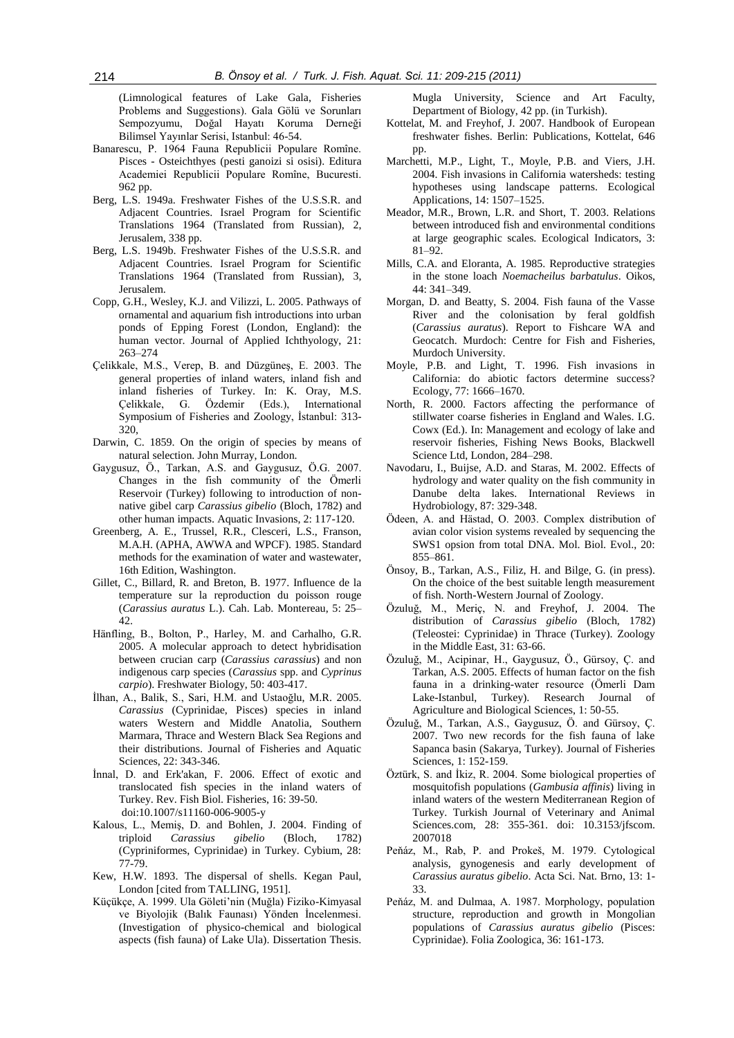(Limnological features of Lake Gala, Fisheries Problems and Suggestions). Gala Gölü ve Sorunları Sempozyumu, Doğal Hayatı Koruma Derneği Bilimsel Yayınlar Serisi, Istanbul: 46-54.

- Banarescu, P. 1964 Fauna Republicii Populare Romîne. Pisces - Osteichthyes (pesti ganoizi si osisi). Editura Academiei Republicii Populare Romîne, Bucuresti. 962 pp.
- Berg, L.S. 1949a. Freshwater Fishes of the U.S.S.R. and Adjacent Countries. Israel Program for Scientific Translations 1964 (Translated from Russian), 2, Jerusalem, 338 pp.
- Berg, L.S. 1949b. Freshwater Fishes of the U.S.S.R. and Adjacent Countries. Israel Program for Scientific Translations 1964 (Translated from Russian), 3, Jerusalem.
- Copp, G.H., Wesley, K.J. and Vilizzi, L. 2005. Pathways of ornamental and aquarium fish introductions into urban ponds of Epping Forest (London, England): the human vector. Journal of Applied Ichthyology, 21: 263–274
- Çelikkale, M.S., Verep, B. and Düzgüneş, E. 2003. The general properties of inland waters, inland fish and inland fisheries of Turkey. In: K. Oray, M.S. Çelikkale, G. Özdemir (Eds.), International Symposium of Fisheries and Zoology, İstanbul: 313- 320,
- Darwin, C. 1859. On the origin of species by means of natural selection. John Murray, London.
- Gaygusuz, Ö., Tarkan, A.S. and Gaygusuz, Ö.G. 2007. Changes in the fish community of the Ömerli Reservoir (Turkey) following to introduction of nonnative gibel carp *Carassius gibelio* (Bloch, 1782) and other human impacts. Aquatic Invasions, 2: 117-120.
- Greenberg, A. E., Trussel, R.R., Clesceri, L.S., Franson, M.A.H. (APHA, AWWA and WPCF). 1985. Standard methods for the examination of water and wastewater, 16th Edition, Washington.
- Gillet, C., Billard, R. and Breton, B. 1977. Influence de la temperature sur la reproduction du poisson rouge (*Carassius auratus* L.). Cah. Lab. Montereau, 5: 25– 42.
- Hänfling, B., Bolton, P., Harley, M. and Carhalho, G.R. 2005. A molecular approach to detect hybridisation between crucian carp (*Carassius carassius*) and non indigenous carp species (*Carassius* spp. and *Cyprinus carpio*). Freshwater Biology, 50: 403-417.
- İlhan, A., Balik, S., Sari, H.M. and Ustaoğlu, M.R. 2005. *Carassius* (Cyprinidae, Pisces) species in inland waters Western and Middle Anatolia, Southern Marmara, Thrace and Western Black Sea Regions and their distributions. Journal of Fisheries and Aquatic Sciences, 22: 343-346.
- İnnal, D. and Erk'akan, F. 2006. Effect of exotic and translocated fish species in the inland waters of Turkey. Rev. Fish Biol. Fisheries, 16: 39-50. doi:10.1007/s11160-006-9005-y
- Kalous, L., Memiş, D. and Bohlen, J. 2004. Finding of triploid *Carassius gibelio* (Bloch, 1782) triploid *Carassius gibelio* (Bloch, 1782) (Cypriniformes, Cyprinidae) in Turkey. Cybium, 28: 77-79.
- Kew, H.W. 1893. The dispersal of shells. Kegan Paul, London [cited from TALLING, 1951].
- Küçükçe, A. 1999. Ula Göleti'nin (Muğla) Fiziko-Kimyasal ve Biyolojik (Balık Faunası) Yönden İncelenmesi. (Investigation of physico-chemical and biological aspects (fish fauna) of Lake Ula). Dissertation Thesis.

Mugla University, Science and Art Faculty, Department of Biology, 42 pp. (in Turkish).

- Kottelat, M. and Freyhof, J. 2007. Handbook of European freshwater fishes. Berlin: Publications, Kottelat, 646 pp.
- Marchetti, M.P., Light, T., Moyle, P.B. and Viers, J.H. 2004. Fish invasions in California watersheds: testing hypotheses using landscape patterns. Ecological Applications, 14: 1507–1525.
- Meador, M.R., Brown, L.R. and Short, T. 2003. Relations between introduced fish and environmental conditions at large geographic scales. Ecological Indicators, 3: 81–92.
- Mills, C.A. and Eloranta, A. 1985. Reproductive strategies in the stone loach *Noemacheilus barbatulus*. Oikos, 44: 341–349.
- Morgan, D. and Beatty, S. 2004. Fish fauna of the Vasse River and the colonisation by feral goldfish (*Carassius auratus*). Report to Fishcare WA and Geocatch. Murdoch: Centre for Fish and Fisheries, Murdoch University.
- Moyle, P.B. and Light, T. 1996. Fish invasions in California: do abiotic factors determine success? Ecology, 77: 1666–1670.
- North, R. 2000. Factors affecting the performance of stillwater coarse fisheries in England and Wales. I.G. Cowx (Ed.). In: Management and ecology of lake and reservoir fisheries, Fishing News Books, Blackwell Science Ltd, London, 284–298.
- Navodaru, I., Buijse, A.D. and Staras, M. 2002. Effects of hydrology and water quality on the fish community in Danube delta lakes. International Reviews in Hydrobiology, 87: 329-348.
- Ödeen, A. and Hästad, O. 2003. Complex distribution of avian color vision systems revealed by sequencing the SWS1 opsion from total DNA. Mol. Biol. Evol., 20: 855–861.
- Önsoy, B., Tarkan, A.S., Filiz, H. and Bilge, G. (in press). On the choice of the best suitable length measurement of fish. North-Western Journal of Zoology.
- Özuluğ, M., Meriç, N. and Freyhof, J. 2004. The distribution of *Carassius gibelio* (Bloch, 1782) (Teleostei: Cyprinidae) in Thrace (Turkey). Zoology in the Middle East, 31: 63-66.
- Özuluğ, M., Acipinar, H., Gaygusuz, Ö., Gürsoy, Ç. and Tarkan, A.S. 2005. Effects of human factor on the fish fauna in a drinking-water resource (Ömerli Dam Lake-Istanbul, Turkey). Research Journal of Agriculture and Biological Sciences, 1: 50-55.
- Özuluğ, M., Tarkan, A.S., Gaygusuz, Ö. and Gürsoy, Ç. 2007. Two new records for the fish fauna of lake Sapanca basin (Sakarya, Turkey). Journal of Fisheries Sciences, 1: 152-159.
- Öztürk, S. and İkiz, R. 2004. Some biological properties of mosquitofish populations (*Gambusia affinis*) living in inland waters of the western Mediterranean Region of Turkey. Turkish Journal of Veterinary and Animal Sciences.com, 28: 355-361. doi: 10.3153/jfscom. 2007018
- Peňáz, M., Rab, P. and Prokeš, M. 1979. Cytological analysis, gynogenesis and early development of *Carassius auratus gibelio*. Acta Sci. Nat. Brno, 13: 1- 33.
- Peňáz, M. and Dulmaa, A. 1987. Morphology, population structure, reproduction and growth in Mongolian populations of *Carassius auratus gibelio* (Pisces: Cyprinidae). Folia Zoologica, 36: 161-173.